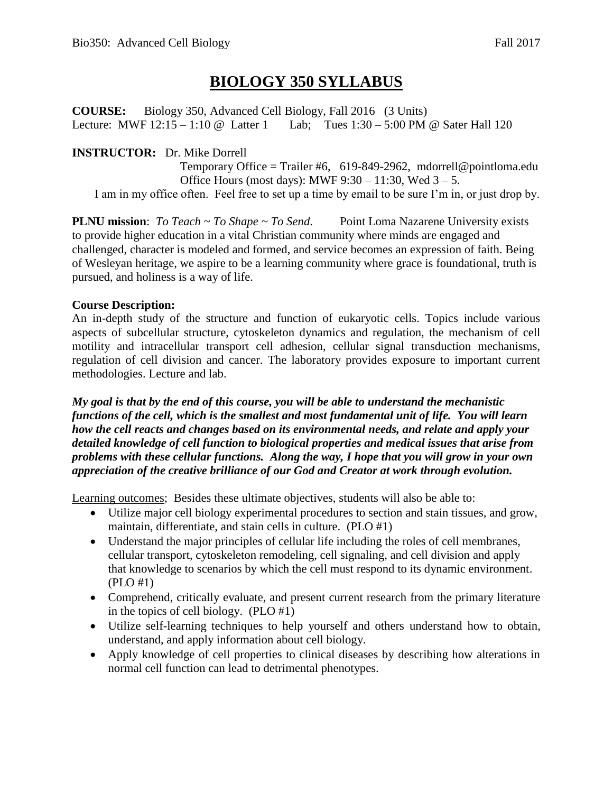# **BIOLOGY 350 SYLLABUS**

**COURSE:** Biology 350, Advanced Cell Biology, Fall 2016 (3 Units) Lecture: MWF 12:15 – 1:10 @ Latter 1 Lab; Tues 1:30 – 5:00 PM @ Sater Hall 120

## **INSTRUCTOR:** Dr. Mike Dorrell

Temporary Office = Trailer #6, 619-849-2962, mdorrell@pointloma.edu Office Hours (most days): MWF  $9:30 - 11:30$ , Wed  $3 - 5$ . I am in my office often. Feel free to set up a time by email to be sure I'm in, or just drop by.

**PLNU mission**: *To Teach ~ To Shape ~ To Send*. Point Loma Nazarene University exists to provide higher education in a vital Christian community where minds are engaged and challenged, character is modeled and formed, and service becomes an expression of faith. Being of Wesleyan heritage, we aspire to be a learning community where grace is foundational, truth is pursued, and holiness is a way of life.

### **Course Description:**

An in-depth study of the structure and function of eukaryotic cells. Topics include various aspects of subcellular structure, cytoskeleton dynamics and regulation, the mechanism of cell motility and intracellular transport cell adhesion, cellular signal transduction mechanisms, regulation of cell division and cancer. The laboratory provides exposure to important current methodologies. Lecture and lab.

*My goal is that by the end of this course, you will be able to understand the mechanistic functions of the cell, which is the smallest and most fundamental unit of life. You will learn how the cell reacts and changes based on its environmental needs, and relate and apply your detailed knowledge of cell function to biological properties and medical issues that arise from problems with these cellular functions. Along the way, I hope that you will grow in your own appreciation of the creative brilliance of our God and Creator at work through evolution.* 

Learning outcomes; Besides these ultimate objectives, students will also be able to:

- Utilize major cell biology experimental procedures to section and stain tissues, and grow, maintain, differentiate, and stain cells in culture. (PLO #1)
- Understand the major principles of cellular life including the roles of cell membranes, cellular transport, cytoskeleton remodeling, cell signaling, and cell division and apply that knowledge to scenarios by which the cell must respond to its dynamic environment. (PLO #1)
- Comprehend, critically evaluate, and present current research from the primary literature in the topics of cell biology. (PLO #1)
- Utilize self-learning techniques to help yourself and others understand how to obtain, understand, and apply information about cell biology.
- Apply knowledge of cell properties to clinical diseases by describing how alterations in normal cell function can lead to detrimental phenotypes.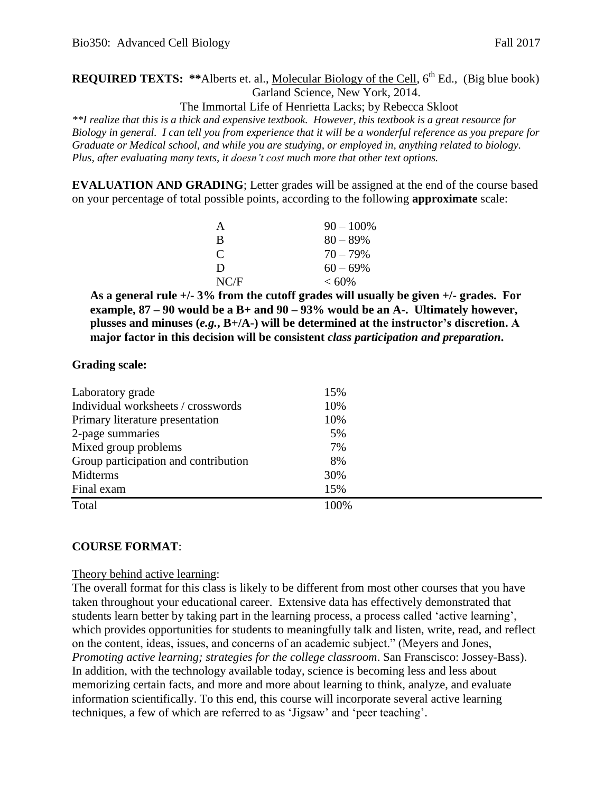# **REQUIRED TEXTS:** \*\*Alberts et. al., Molecular Biology of the Cell, 6<sup>th</sup> Ed., (Big blue book) Garland Science, New York, 2014.

The Immortal Life of Henrietta Lacks; by Rebecca Skloot

*\*\*I realize that this is a thick and expensive textbook. However, this textbook is a great resource for Biology in general. I can tell you from experience that it will be a wonderful reference as you prepare for Graduate or Medical school, and while you are studying, or employed in, anything related to biology. Plus, after evaluating many texts, it doesn't cost much more that other text options.* 

**EVALUATION AND GRADING**; Letter grades will be assigned at the end of the course based on your percentage of total possible points, according to the following **approximate** scale:

| A                           | $90 - 100\%$ |
|-----------------------------|--------------|
| R                           | $80 - 89\%$  |
| $\mathcal{C}_{\mathcal{C}}$ | $70 - 79\%$  |
| Ð                           | $60 - 69\%$  |
| NC/F                        | $< 60\%$     |

**As a general rule +/- 3% from the cutoff grades will usually be given +/- grades. For example, 87 – 90 would be a B+ and 90 – 93% would be an A-. Ultimately however, plusses and minuses (***e.g.***, B+/A-) will be determined at the instructor's discretion. A major factor in this decision will be consistent** *class participation and preparation***.** 

### **Grading scale:**

| Laboratory grade                     | 15%  |  |
|--------------------------------------|------|--|
| Individual worksheets / crosswords   | 10%  |  |
| Primary literature presentation      | 10%  |  |
| 2-page summaries                     | 5%   |  |
| Mixed group problems                 | 7%   |  |
| Group participation and contribution | 8%   |  |
| Midterms                             | 30%  |  |
| Final exam                           | 15%  |  |
| Total                                | 100% |  |

### **COURSE FORMAT**:

### Theory behind active learning:

The overall format for this class is likely to be different from most other courses that you have taken throughout your educational career. Extensive data has effectively demonstrated that students learn better by taking part in the learning process, a process called 'active learning', which provides opportunities for students to meaningfully talk and listen, write, read, and reflect on the content, ideas, issues, and concerns of an academic subject." (Meyers and Jones, *Promoting active learning; strategies for the college classroom*. San Franscisco: Jossey-Bass). In addition, with the technology available today, science is becoming less and less about memorizing certain facts, and more and more about learning to think, analyze, and evaluate information scientifically. To this end, this course will incorporate several active learning techniques, a few of which are referred to as 'Jigsaw' and 'peer teaching'.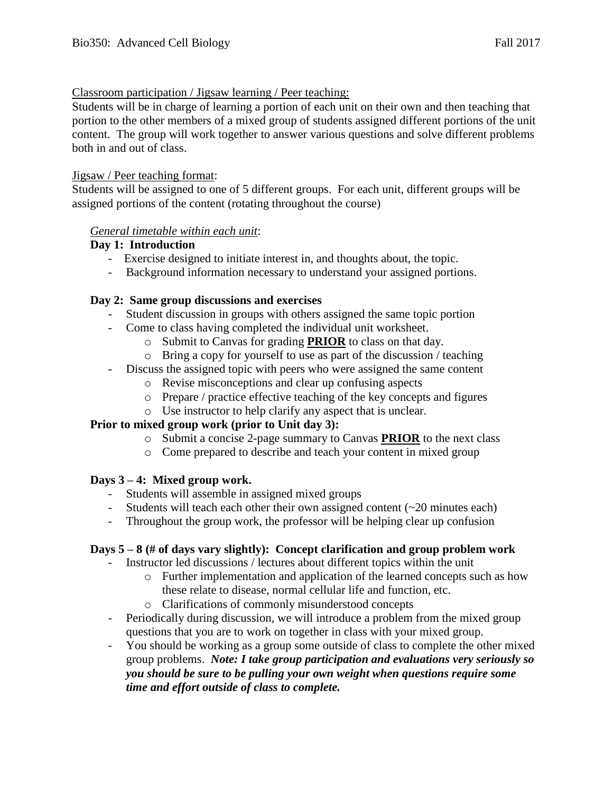### Classroom participation / Jigsaw learning / Peer teaching:

Students will be in charge of learning a portion of each unit on their own and then teaching that portion to the other members of a mixed group of students assigned different portions of the unit content. The group will work together to answer various questions and solve different problems both in and out of class.

### Jigsaw / Peer teaching format:

Students will be assigned to one of 5 different groups. For each unit, different groups will be assigned portions of the content (rotating throughout the course)

### *General timetable within each unit*:

### **Day 1: Introduction**

- Exercise designed to initiate interest in, and thoughts about, the topic.
- Background information necessary to understand your assigned portions.

### **Day 2: Same group discussions and exercises**

- Student discussion in groups with others assigned the same topic portion
- Come to class having completed the individual unit worksheet.
	- o Submit to Canvas for grading **PRIOR** to class on that day.
	- o Bring a copy for yourself to use as part of the discussion / teaching
- Discuss the assigned topic with peers who were assigned the same content
	- o Revise misconceptions and clear up confusing aspects
	- o Prepare / practice effective teaching of the key concepts and figures
	- o Use instructor to help clarify any aspect that is unclear.

### **Prior to mixed group work (prior to Unit day 3):**

- o Submit a concise 2-page summary to Canvas **PRIOR** to the next class
- o Come prepared to describe and teach your content in mixed group

### **Days 3 – 4: Mixed group work.**

- Students will assemble in assigned mixed groups
- Students will teach each other their own assigned content  $(\sim 20 \text{ minutes each})$
- Throughout the group work, the professor will be helping clear up confusion

### **Days 5 – 8 (# of days vary slightly): Concept clarification and group problem work**

- Instructor led discussions / lectures about different topics within the unit
	- o Further implementation and application of the learned concepts such as how these relate to disease, normal cellular life and function, etc.
	- o Clarifications of commonly misunderstood concepts
- Periodically during discussion, we will introduce a problem from the mixed group questions that you are to work on together in class with your mixed group.
- You should be working as a group some outside of class to complete the other mixed group problems. *Note: I take group participation and evaluations very seriously so you should be sure to be pulling your own weight when questions require some time and effort outside of class to complete.*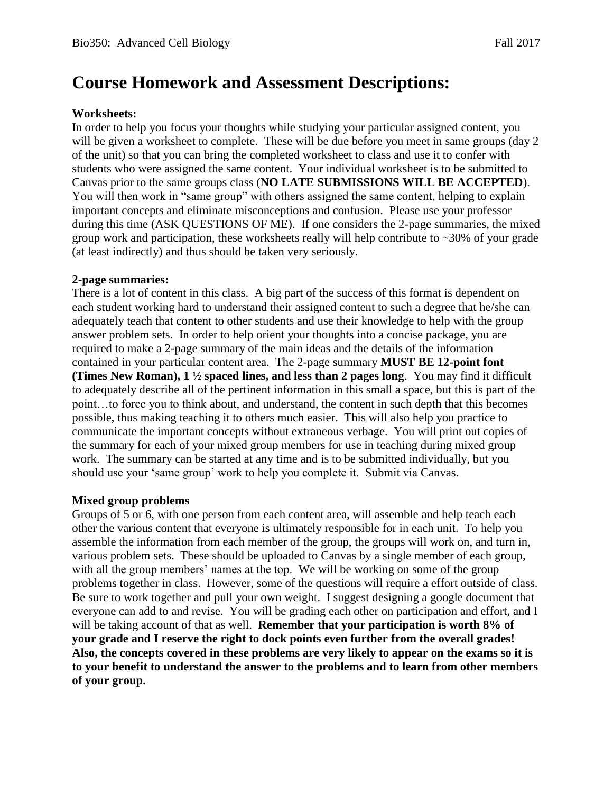# **Course Homework and Assessment Descriptions:**

### **Worksheets:**

In order to help you focus your thoughts while studying your particular assigned content, you will be given a worksheet to complete. These will be due before you meet in same groups (day 2 of the unit) so that you can bring the completed worksheet to class and use it to confer with students who were assigned the same content. Your individual worksheet is to be submitted to Canvas prior to the same groups class (**NO LATE SUBMISSIONS WILL BE ACCEPTED**). You will then work in "same group" with others assigned the same content, helping to explain important concepts and eliminate misconceptions and confusion. Please use your professor during this time (ASK QUESTIONS OF ME). If one considers the 2-page summaries, the mixed group work and participation, these worksheets really will help contribute to  $\sim$ 30% of your grade (at least indirectly) and thus should be taken very seriously.

### **2-page summaries:**

There is a lot of content in this class. A big part of the success of this format is dependent on each student working hard to understand their assigned content to such a degree that he/she can adequately teach that content to other students and use their knowledge to help with the group answer problem sets. In order to help orient your thoughts into a concise package, you are required to make a 2-page summary of the main ideas and the details of the information contained in your particular content area. The 2-page summary **MUST BE 12-point font (Times New Roman), 1 ½ spaced lines, and less than 2 pages long**. You may find it difficult to adequately describe all of the pertinent information in this small a space, but this is part of the point…to force you to think about, and understand, the content in such depth that this becomes possible, thus making teaching it to others much easier. This will also help you practice to communicate the important concepts without extraneous verbage. You will print out copies of the summary for each of your mixed group members for use in teaching during mixed group work. The summary can be started at any time and is to be submitted individually, but you should use your 'same group' work to help you complete it. Submit via Canvas.

### **Mixed group problems**

Groups of 5 or 6, with one person from each content area, will assemble and help teach each other the various content that everyone is ultimately responsible for in each unit. To help you assemble the information from each member of the group, the groups will work on, and turn in, various problem sets. These should be uploaded to Canvas by a single member of each group, with all the group members' names at the top. We will be working on some of the group problems together in class. However, some of the questions will require a effort outside of class. Be sure to work together and pull your own weight. I suggest designing a google document that everyone can add to and revise. You will be grading each other on participation and effort, and I will be taking account of that as well. **Remember that your participation is worth 8% of your grade and I reserve the right to dock points even further from the overall grades! Also, the concepts covered in these problems are very likely to appear on the exams so it is to your benefit to understand the answer to the problems and to learn from other members of your group.**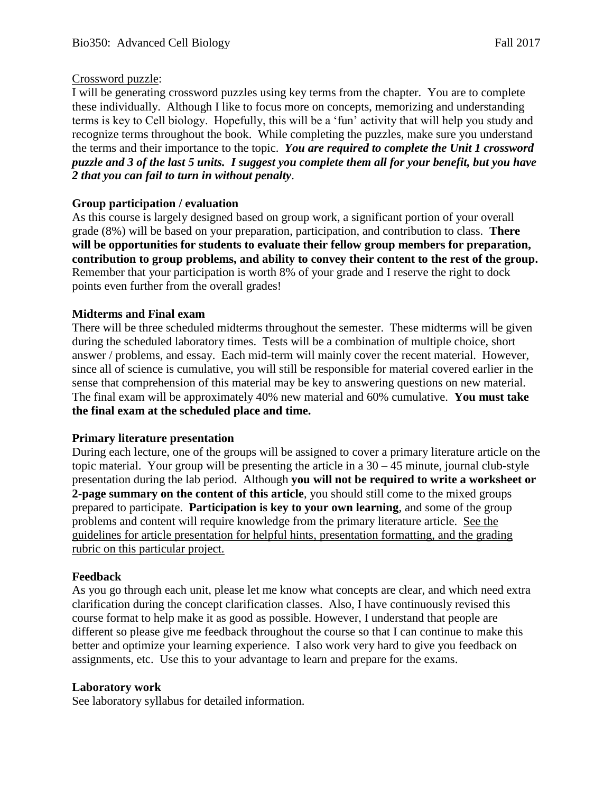## Crossword puzzle:

I will be generating crossword puzzles using key terms from the chapter. You are to complete these individually. Although I like to focus more on concepts, memorizing and understanding terms is key to Cell biology. Hopefully, this will be a 'fun' activity that will help you study and recognize terms throughout the book. While completing the puzzles, make sure you understand the terms and their importance to the topic. *You are required to complete the Unit 1 crossword puzzle and 3 of the last 5 units. I suggest you complete them all for your benefit, but you have 2 that you can fail to turn in without penalty*.

## **Group participation / evaluation**

As this course is largely designed based on group work, a significant portion of your overall grade (8%) will be based on your preparation, participation, and contribution to class. **There will be opportunities for students to evaluate their fellow group members for preparation, contribution to group problems, and ability to convey their content to the rest of the group.**  Remember that your participation is worth 8% of your grade and I reserve the right to dock points even further from the overall grades!

### **Midterms and Final exam**

There will be three scheduled midterms throughout the semester. These midterms will be given during the scheduled laboratory times. Tests will be a combination of multiple choice, short answer / problems, and essay. Each mid-term will mainly cover the recent material. However, since all of science is cumulative, you will still be responsible for material covered earlier in the sense that comprehension of this material may be key to answering questions on new material. The final exam will be approximately 40% new material and 60% cumulative. **You must take the final exam at the scheduled place and time.** 

### **Primary literature presentation**

During each lecture, one of the groups will be assigned to cover a primary literature article on the topic material. Your group will be presenting the article in a  $30 - 45$  minute, journal club-style presentation during the lab period. Although **you will not be required to write a worksheet or 2-page summary on the content of this article**, you should still come to the mixed groups prepared to participate. **Participation is key to your own learning**, and some of the group problems and content will require knowledge from the primary literature article. See the guidelines for article presentation for helpful hints, presentation formatting, and the grading rubric on this particular project.

### **Feedback**

As you go through each unit, please let me know what concepts are clear, and which need extra clarification during the concept clarification classes. Also, I have continuously revised this course format to help make it as good as possible. However, I understand that people are different so please give me feedback throughout the course so that I can continue to make this better and optimize your learning experience. I also work very hard to give you feedback on assignments, etc. Use this to your advantage to learn and prepare for the exams.

### **Laboratory work**

See laboratory syllabus for detailed information.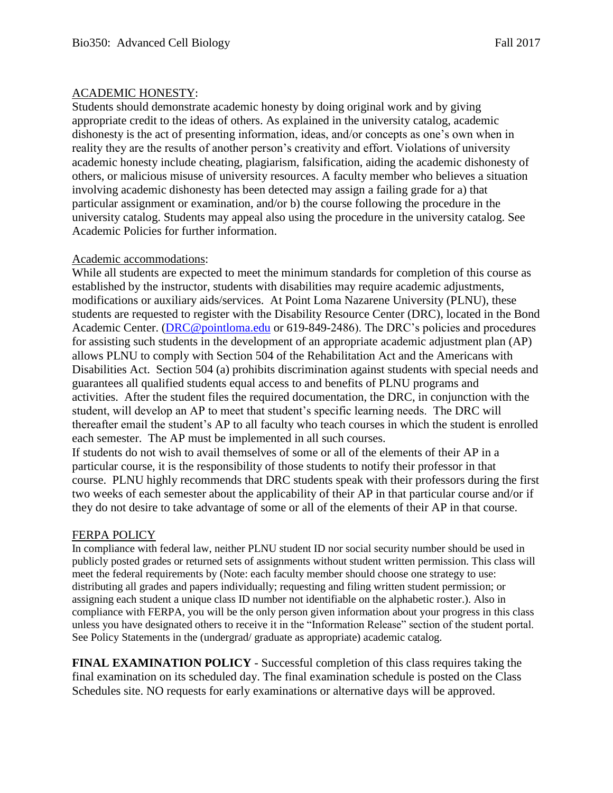## ACADEMIC HONESTY:

Students should demonstrate academic honesty by doing original work and by giving appropriate credit to the ideas of others. As explained in the university catalog, academic dishonesty is the act of presenting information, ideas, and/or concepts as one's own when in reality they are the results of another person's creativity and effort. Violations of university academic honesty include cheating, plagiarism, falsification, aiding the academic dishonesty of others, or malicious misuse of university resources. A faculty member who believes a situation involving academic dishonesty has been detected may assign a failing grade for a) that particular assignment or examination, and/or b) the course following the procedure in the university catalog. Students may appeal also using the procedure in the university catalog. See Academic Policies for further information.

### Academic accommodations:

While all students are expected to meet the minimum standards for completion of this course as established by the instructor, students with disabilities may require academic adjustments, modifications or auxiliary aids/services. At Point Loma Nazarene University (PLNU), these students are requested to register with the Disability Resource Center (DRC), located in the Bond Academic Center. [\(DRC@pointloma.edu](mailto:DRC@pointloma.edu) or 619-849-2486). The DRC's policies and procedures for assisting such students in the development of an appropriate academic adjustment plan (AP) allows PLNU to comply with Section 504 of the Rehabilitation Act and the Americans with Disabilities Act. Section 504 (a) prohibits discrimination against students with special needs and guarantees all qualified students equal access to and benefits of PLNU programs and activities. After the student files the required documentation, the DRC, in conjunction with the student, will develop an AP to meet that student's specific learning needs. The DRC will thereafter email the student's AP to all faculty who teach courses in which the student is enrolled each semester. The AP must be implemented in all such courses.

If students do not wish to avail themselves of some or all of the elements of their AP in a particular course, it is the responsibility of those students to notify their professor in that course. PLNU highly recommends that DRC students speak with their professors during the first two weeks of each semester about the applicability of their AP in that particular course and/or if they do not desire to take advantage of some or all of the elements of their AP in that course.

### FERPA POLICY

In compliance with federal law, neither PLNU student ID nor social security number should be used in publicly posted grades or returned sets of assignments without student written permission. This class will meet the federal requirements by (Note: each faculty member should choose one strategy to use: distributing all grades and papers individually; requesting and filing written student permission; or assigning each student a unique class ID number not identifiable on the alphabetic roster.). Also in compliance with FERPA, you will be the only person given information about your progress in this class unless you have designated others to receive it in the "Information Release" section of the student portal. See Policy Statements in the (undergrad/ graduate as appropriate) academic catalog.

**FINAL EXAMINATION POLICY** - Successful completion of this class requires taking the final examination on its scheduled day. The final examination schedule is posted on the Class Schedules site. NO requests for early examinations or alternative days will be approved.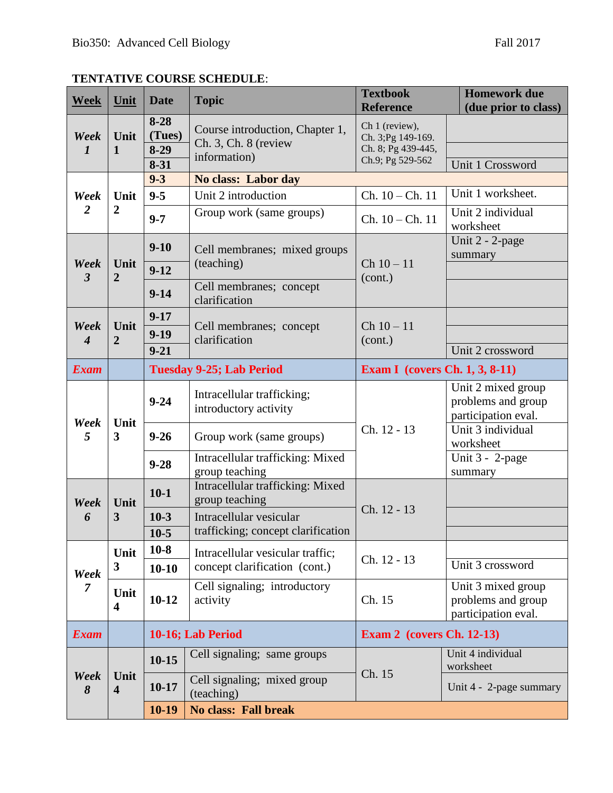| <b>Week</b>                  | Unit                            | <b>Date</b>                              | <b>Topic</b>                                                              | <b>Textbook</b><br><b>Reference</b>                                            | <b>Homework due</b><br>(due prior to class)                     |  |
|------------------------------|---------------------------------|------------------------------------------|---------------------------------------------------------------------------|--------------------------------------------------------------------------------|-----------------------------------------------------------------|--|
| Week<br>$\bm{l}$             | Unit<br>1                       | $8 - 28$<br>(Tues)<br>$8-29$<br>$8 - 31$ | Course introduction, Chapter 1,<br>$Ch. 3, Ch. 8$ (review<br>information) | Ch 1 (review),<br>Ch. 3; Pg 149-169.<br>Ch. 8; Pg 439-445,<br>Ch.9; Pg 529-562 |                                                                 |  |
|                              |                                 | $9 - 3$                                  |                                                                           |                                                                                | Unit 1 Crossword                                                |  |
|                              |                                 |                                          | No class: Labor day                                                       |                                                                                | Unit 1 worksheet.                                               |  |
| Week                         | Unit                            | $9 - 5$                                  | Unit 2 introduction                                                       | $Ch. 10 - Ch. 11$                                                              |                                                                 |  |
| $\overline{2}$               | $\boldsymbol{2}$                | $9 - 7$                                  | Group work (same groups)                                                  | $Ch. 10 - Ch. 11$                                                              | Unit 2 individual<br>worksheet                                  |  |
| Week<br>$\boldsymbol{\beta}$ |                                 | $9 - 10$                                 | Cell membranes; mixed groups                                              | $Ch 10 - 11$<br>(cont.)                                                        | Unit $2 - 2$ -page<br>summary                                   |  |
|                              | Unit<br>$\overline{2}$          | $9-12$                                   | (teaching)                                                                |                                                                                |                                                                 |  |
|                              |                                 | $9 - 14$                                 | Cell membranes; concept<br>clarification                                  |                                                                                |                                                                 |  |
| Week                         |                                 | $9 - 17$                                 |                                                                           |                                                                                |                                                                 |  |
|                              | Unit<br>$\overline{2}$          | $9-19$                                   | Cell membranes; concept<br>clarification                                  | $Ch 10 - 11$                                                                   |                                                                 |  |
| $\boldsymbol{4}$             |                                 | $9 - 21$                                 |                                                                           | (cont.)                                                                        | Unit 2 crossword                                                |  |
| <b>Exam</b>                  |                                 | <b>Tuesday 9-25; Lab Period</b>          |                                                                           | <b>Exam I</b> (covers Ch. 1, 3, 8-11)                                          |                                                                 |  |
| Week<br>5                    | Unit<br>$\overline{\mathbf{3}}$ | $9 - 24$                                 | Intracellular trafficking;<br>introductory activity                       |                                                                                | Unit 2 mixed group<br>problems and group<br>participation eval. |  |
|                              |                                 | $9 - 26$                                 | Group work (same groups)                                                  | Ch. 12 - 13                                                                    | Unit 3 individual<br>worksheet                                  |  |
|                              |                                 | $9 - 28$                                 | Intracellular trafficking: Mixed<br>group teaching                        |                                                                                | Unit $3 - 2$ -page<br>summary                                   |  |
| Week<br>6                    | Unit<br>3                       | $10-1$                                   | Intracellular trafficking: Mixed<br>group teaching                        | Ch. 12 - 13                                                                    |                                                                 |  |
|                              |                                 | $10-3$                                   | Intracellular vesicular                                                   |                                                                                |                                                                 |  |
|                              |                                 | $10-5$                                   | trafficking; concept clarification                                        |                                                                                |                                                                 |  |
|                              | Unit<br>3                       | $10-8$                                   | Intracellular vesicular traffic;                                          | Ch. 12 - 13                                                                    |                                                                 |  |
| Week<br>7                    |                                 | $10 - 10$                                | concept clarification (cont.)                                             |                                                                                | Unit 3 crossword                                                |  |
|                              | Unit<br>$\overline{\mathbf{4}}$ | $10 - 12$                                | Cell signaling; introductory<br>activity                                  | Ch. 15                                                                         | Unit 3 mixed group<br>problems and group<br>participation eval. |  |
| <b>Exam</b>                  |                                 | 10-16; Lab Period                        |                                                                           | <b>Exam 2</b> (covers Ch. 12-13)                                               |                                                                 |  |
| Week<br>8                    | Unit<br>$\overline{\mathbf{4}}$ | $10-15$                                  | Cell signaling; same groups                                               | Ch. 15                                                                         | Unit 4 individual<br>worksheet                                  |  |
|                              |                                 | $10-17$                                  | Cell signaling; mixed group<br>(teaching)                                 |                                                                                | Unit 4 - 2-page summary                                         |  |
|                              |                                 | $10-19$                                  | <b>No class: Fall break</b>                                               |                                                                                |                                                                 |  |

# **TENTATIVE COURSE SCHEDULE**: